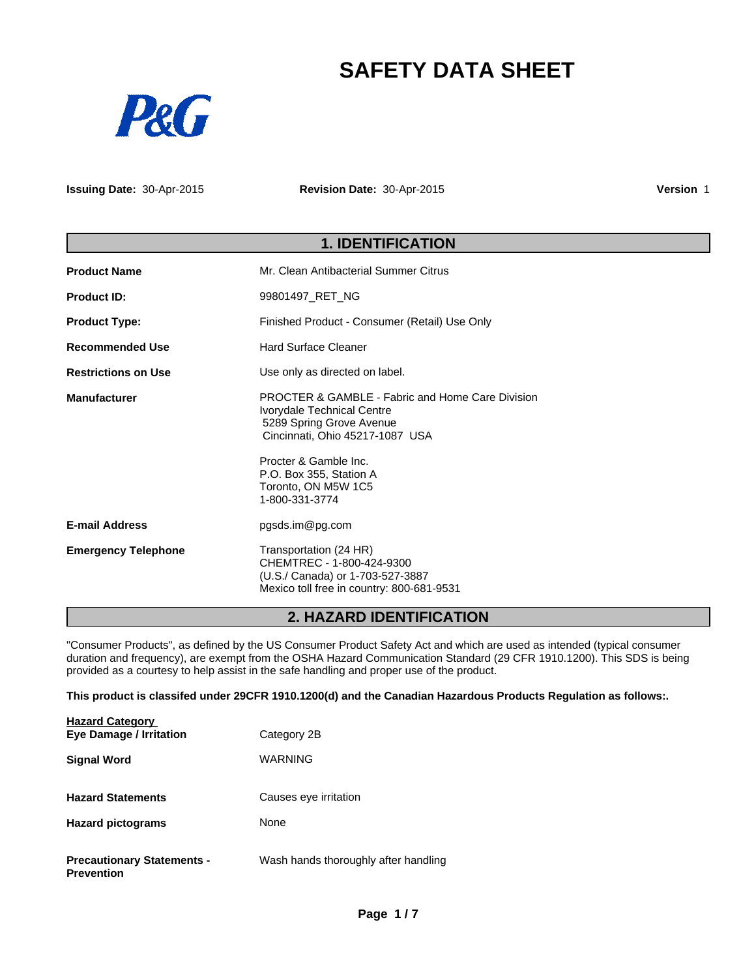# **SAFETY DATA SHEET**



**Issuing Date:** 30-Apr-2015

**Revision Date:** 30-Apr-2015

**Version** 1

# **1. IDENTIFICATION**

| <b>Product Name</b>        | Mr. Clean Antibacterial Summer Citrus                                                                                                                                                                                                                 |  |
|----------------------------|-------------------------------------------------------------------------------------------------------------------------------------------------------------------------------------------------------------------------------------------------------|--|
| <b>Product ID:</b>         | 99801497 RET NG                                                                                                                                                                                                                                       |  |
| <b>Product Type:</b>       | Finished Product - Consumer (Retail) Use Only                                                                                                                                                                                                         |  |
| <b>Recommended Use</b>     | <b>Hard Surface Cleaner</b>                                                                                                                                                                                                                           |  |
| <b>Restrictions on Use</b> | Use only as directed on label.                                                                                                                                                                                                                        |  |
| <b>Manufacturer</b>        | <b>PROCTER &amp; GAMBLE - Fabric and Home Care Division</b><br>Ivorydale Technical Centre<br>5289 Spring Grove Avenue<br>Cincinnati, Ohio 45217-1087 USA<br>Procter & Gamble Inc.<br>P.O. Box 355, Station A<br>Toronto, ON M5W 1C5<br>1-800-331-3774 |  |
| <b>E-mail Address</b>      | pgsds.im@pg.com                                                                                                                                                                                                                                       |  |
| <b>Emergency Telephone</b> | Transportation (24 HR)<br>CHEMTREC - 1-800-424-9300<br>(U.S./ Canada) or 1-703-527-3887<br>Mexico toll free in country: 800-681-9531                                                                                                                  |  |

# **2. HAZARD IDENTIFICATION**

"Consumer Products", as defined by the US Consumer Product Safety Act and which are used as intended (typical consumer duration and frequency), are exempt from the OSHA Hazard Communication Standard (29 CFR 1910.1200). This SDS is being provided as a courtesy to help assist in the safe handling and proper use of the product.

**This product is classifed under 29CFR 1910.1200(d) and the Canadian Hazardous Products Regulation as follows:.**

| <b>Hazard Category</b><br><b>Eye Damage / Irritation</b> | Category 2B                          |
|----------------------------------------------------------|--------------------------------------|
| <b>Signal Word</b>                                       | <b>WARNING</b>                       |
| <b>Hazard Statements</b>                                 | Causes eye irritation                |
| <b>Hazard pictograms</b>                                 | None                                 |
| <b>Precautionary Statements -</b><br><b>Prevention</b>   | Wash hands thoroughly after handling |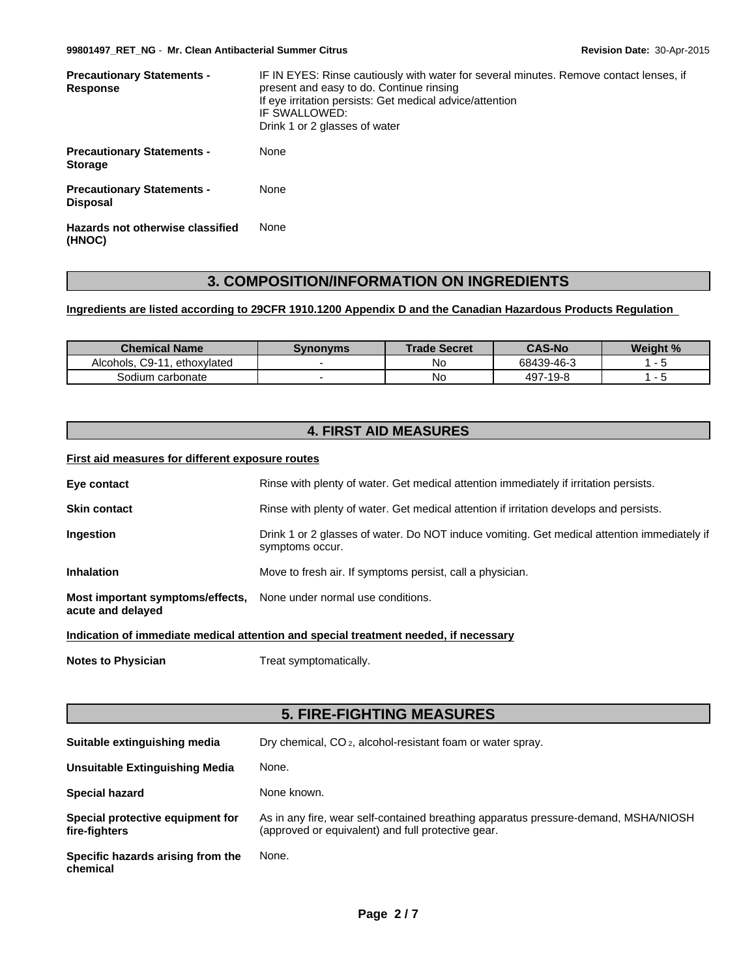| <b>Precautionary Statements -</b><br>Response     | IF IN EYES: Rinse cautiously with water for several minutes. Remove contact lenses, if<br>present and easy to do. Continue rinsing<br>If eye irritation persists: Get medical advice/attention<br>IF SWALLOWED:<br>Drink 1 or 2 glasses of water |  |  |
|---------------------------------------------------|--------------------------------------------------------------------------------------------------------------------------------------------------------------------------------------------------------------------------------------------------|--|--|
| <b>Precautionary Statements -</b><br>Storage      | None                                                                                                                                                                                                                                             |  |  |
| <b>Precautionary Statements -</b><br>Disposal     | None                                                                                                                                                                                                                                             |  |  |
| <b>Hazards not otherwise classified</b><br>(HNOC) | None                                                                                                                                                                                                                                             |  |  |

# **3. COMPOSITION/INFORMATION ON INGREDIENTS**

# **Ingredients are listed according to 29CFR 1910.1200 Appendix D and the Canadian Hazardous Products Regulation**

| <b>Chemical Name</b>                | Svnonvms | <b>Trade Secret</b> | <b>CAS-No</b> | <b>Weight %</b> |
|-------------------------------------|----------|---------------------|---------------|-----------------|
| . C9-11<br>Alcohols.<br>ethoxylated |          | No                  | 68439-46-3    |                 |
| Sodium carbonate                    |          | N0                  | 497-19-8      |                 |

# **4. FIRST AID MEASURES**

# **First aid measures for different exposure routes**

| Eye contact                                                                          | Rinse with plenty of water. Get medical attention immediately if irritation persists.                          |  |  |
|--------------------------------------------------------------------------------------|----------------------------------------------------------------------------------------------------------------|--|--|
| <b>Skin contact</b>                                                                  | Rinse with plenty of water. Get medical attention if irritation develops and persists.                         |  |  |
| <b>Ingestion</b>                                                                     | Drink 1 or 2 glasses of water. Do NOT induce vomiting. Get medical attention immediately if<br>symptoms occur. |  |  |
| <b>Inhalation</b>                                                                    | Move to fresh air. If symptoms persist, call a physician.                                                      |  |  |
| Most important symptoms/effects,<br>acute and delayed                                | None under normal use conditions.                                                                              |  |  |
| Indication of immediate medical attention and special treatment needed, if necessary |                                                                                                                |  |  |

**Notes to Physician** Treat symptomatically.

# **5. FIRE-FIGHTING MEASURES**

| Suitable extinguishing media                      | Dry chemical, CO <sub>2</sub> , alcohol-resistant foam or water spray.                                                                    |
|---------------------------------------------------|-------------------------------------------------------------------------------------------------------------------------------------------|
| Unsuitable Extinguishing Media                    | None.                                                                                                                                     |
| <b>Special hazard</b>                             | None known.                                                                                                                               |
| Special protective equipment for<br>fire-fighters | As in any fire, wear self-contained breathing apparatus pressure-demand, MSHA/NIOSH<br>(approved or equivalent) and full protective gear. |
| Specific hazards arising from the<br>chemical     | None.                                                                                                                                     |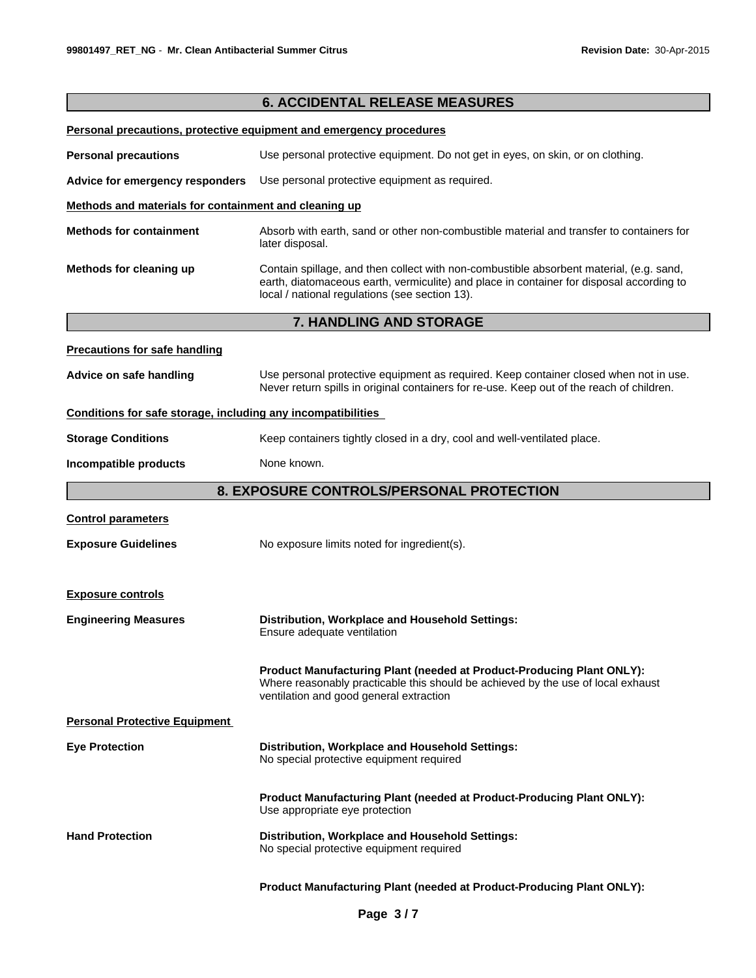|                                                              | <b>6. ACCIDENTAL RELEASE MEASURES</b>                                                                                                                                                                                                 |  |
|--------------------------------------------------------------|---------------------------------------------------------------------------------------------------------------------------------------------------------------------------------------------------------------------------------------|--|
|                                                              | Personal precautions, protective equipment and emergency procedures                                                                                                                                                                   |  |
| <b>Personal precautions</b>                                  | Use personal protective equipment. Do not get in eyes, on skin, or on clothing.                                                                                                                                                       |  |
| Advice for emergency responders                              | Use personal protective equipment as required.                                                                                                                                                                                        |  |
| Methods and materials for containment and cleaning up        |                                                                                                                                                                                                                                       |  |
| <b>Methods for containment</b>                               | Absorb with earth, sand or other non-combustible material and transfer to containers for<br>later disposal.                                                                                                                           |  |
| Methods for cleaning up                                      | Contain spillage, and then collect with non-combustible absorbent material, (e.g. sand,<br>earth, diatomaceous earth, vermiculite) and place in container for disposal according to<br>local / national regulations (see section 13). |  |
|                                                              | 7. HANDLING AND STORAGE                                                                                                                                                                                                               |  |
| <b>Precautions for safe handling</b>                         |                                                                                                                                                                                                                                       |  |
| Advice on safe handling                                      | Use personal protective equipment as required. Keep container closed when not in use.<br>Never return spills in original containers for re-use. Keep out of the reach of children.                                                    |  |
| Conditions for safe storage, including any incompatibilities |                                                                                                                                                                                                                                       |  |
| <b>Storage Conditions</b>                                    | Keep containers tightly closed in a dry, cool and well-ventilated place.                                                                                                                                                              |  |
| Incompatible products                                        | None known.                                                                                                                                                                                                                           |  |
|                                                              | 8. EXPOSURE CONTROLS/PERSONAL PROTECTION                                                                                                                                                                                              |  |
| <b>Control parameters</b>                                    |                                                                                                                                                                                                                                       |  |
| <b>Exposure Guidelines</b>                                   | No exposure limits noted for ingredient(s).                                                                                                                                                                                           |  |
| <b>Exposure controls</b>                                     |                                                                                                                                                                                                                                       |  |
| <b>Engineering Measures</b>                                  | Distribution, Workplace and Household Settings:<br>Ensure adequate ventilation                                                                                                                                                        |  |
|                                                              | <b>Product Manufacturing Plant (needed at Product-Producing Plant ONLY):</b><br>Where reasonably practicable this should be achieved by the use of local exhaust<br>ventilation and good general extraction                           |  |
| <b>Personal Protective Equipment</b>                         |                                                                                                                                                                                                                                       |  |
| <b>Eye Protection</b>                                        | Distribution, Workplace and Household Settings:<br>No special protective equipment required                                                                                                                                           |  |
|                                                              | Product Manufacturing Plant (needed at Product-Producing Plant ONLY):<br>Use appropriate eye protection                                                                                                                               |  |
| <b>Hand Protection</b>                                       | Distribution, Workplace and Household Settings:<br>No special protective equipment required                                                                                                                                           |  |
|                                                              | Product Manufacturing Plant (needed at Product-Producing Plant ONLY):                                                                                                                                                                 |  |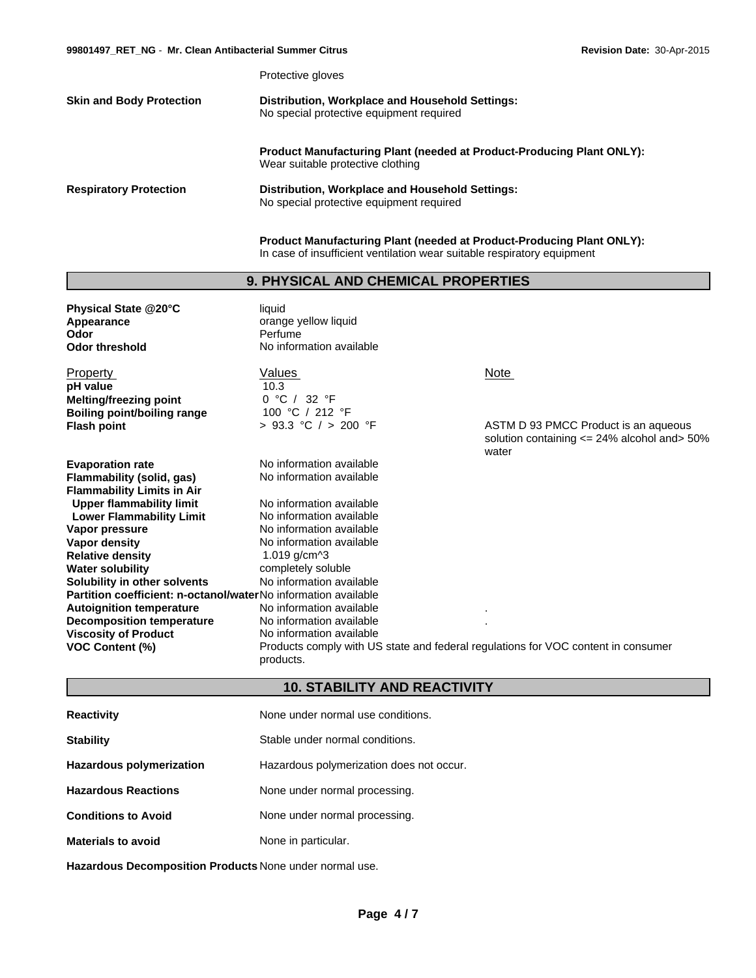Protective gloves

| <b>Skin and Body Protection</b> | Distribution, Workplace and Household Settings: |
|---------------------------------|-------------------------------------------------|
|                                 | No special protective equipment required        |

**Product Manufacturing Plant (needed at Product-Producing Plant ONLY):** Wear suitable protective clothing

**Respiratory Protection Distribution, Workplace and Household Settings:** No special protective equipment required

> **Product Manufacturing Plant (needed at Product-Producing Plant ONLY):** In case of insufficient ventilation wear suitable respiratory equipment

# **9. PHYSICAL AND CHEMICAL PROPERTIES**

| Physical State @20°C<br>Appearance<br>Odor<br><b>Odor threshold</b> | liquid<br>orange yellow liquid<br>Perfume<br>No information available                          |                                                                                          |
|---------------------------------------------------------------------|------------------------------------------------------------------------------------------------|------------------------------------------------------------------------------------------|
| Property                                                            | Values                                                                                         | <b>Note</b>                                                                              |
| pH value                                                            | 10.3                                                                                           |                                                                                          |
| <b>Melting/freezing point</b>                                       | 0 °C / 32 °F                                                                                   |                                                                                          |
| <b>Boiling point/boiling range</b>                                  | 100 °C / 212 °F                                                                                |                                                                                          |
| <b>Flash point</b>                                                  | > 93.3 °C / > 200 °F                                                                           | ASTM D 93 PMCC Product is an aqueous<br>solution containing $\leq$ 24% alcohol and > 50% |
|                                                                     |                                                                                                | water                                                                                    |
| <b>Evaporation rate</b>                                             | No information available                                                                       |                                                                                          |
| Flammability (solid, gas)                                           | No information available                                                                       |                                                                                          |
| <b>Flammability Limits in Air</b>                                   |                                                                                                |                                                                                          |
| <b>Upper flammability limit</b>                                     | No information available                                                                       |                                                                                          |
| <b>Lower Flammability Limit</b>                                     | No information available                                                                       |                                                                                          |
| Vapor pressure                                                      | No information available                                                                       |                                                                                          |
| Vapor density                                                       | No information available                                                                       |                                                                                          |
| <b>Relative density</b>                                             | 1.019 $g/cm^{3}$                                                                               |                                                                                          |
| <b>Water solubility</b>                                             | completely soluble                                                                             |                                                                                          |
| Solubility in other solvents                                        | No information available                                                                       |                                                                                          |
| Partition coefficient: n-octanol/waterNo information available      |                                                                                                |                                                                                          |
| <b>Autoignition temperature</b>                                     | No information available                                                                       |                                                                                          |
| <b>Decomposition temperature</b>                                    | No information available                                                                       |                                                                                          |
| <b>Viscosity of Product</b>                                         | No information available                                                                       |                                                                                          |
| <b>VOC Content (%)</b>                                              | Products comply with US state and federal regulations for VOC content in consumer<br>products. |                                                                                          |

# **10. STABILITY AND REACTIVITY**

| <b>Reactivity</b>               | None under normal use conditions.        |  |
|---------------------------------|------------------------------------------|--|
| <b>Stability</b>                | Stable under normal conditions.          |  |
| <b>Hazardous polymerization</b> | Hazardous polymerization does not occur. |  |
| <b>Hazardous Reactions</b>      | None under normal processing.            |  |
| <b>Conditions to Avoid</b>      | None under normal processing.            |  |
| <b>Materials to avoid</b>       | None in particular.                      |  |

**Hazardous Decomposition Products** None under normal use.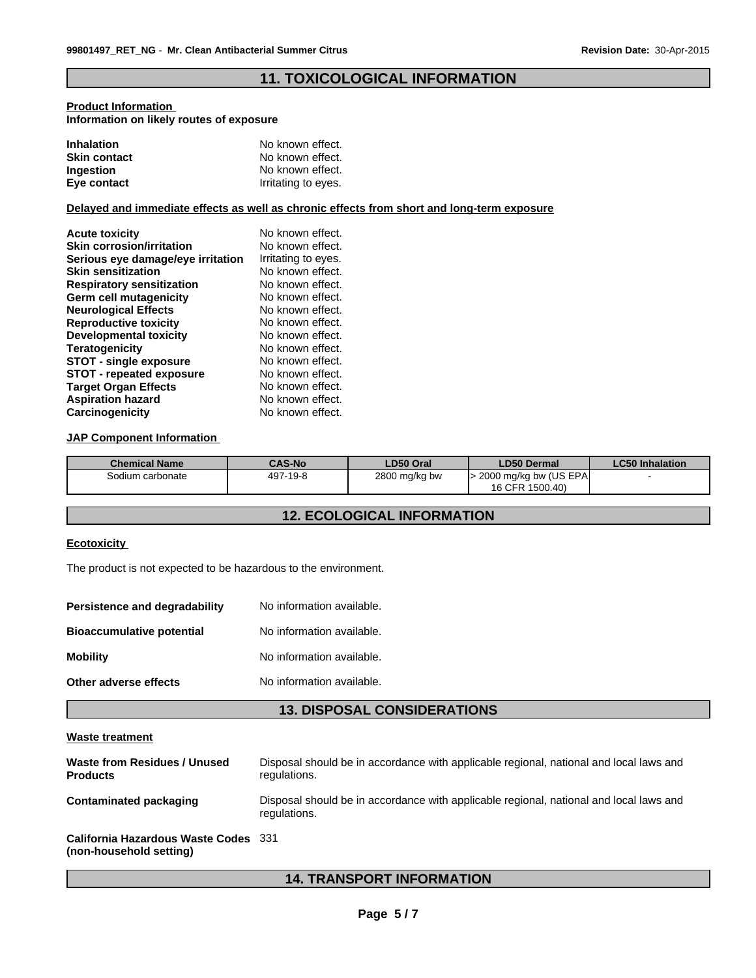# **11. TOXICOLOGICAL INFORMATION**

### **Product Information Information on likely routes of exposure**

| <b>Inhalation</b>   | No known effect.    |
|---------------------|---------------------|
| <b>Skin contact</b> | No known effect.    |
| <b>Ingestion</b>    | No known effect.    |
| Eye contact         | Irritating to eyes. |

### **Delayed and immediate effects as well as chronic effects from short and long-term exposure**

| <b>Acute toxicity</b>             | No known effect.    |
|-----------------------------------|---------------------|
| <b>Skin corrosion/irritation</b>  | No known effect.    |
| Serious eye damage/eye irritation | Irritating to eyes. |
| <b>Skin sensitization</b>         | No known effect.    |
| <b>Respiratory sensitization</b>  | No known effect.    |
| Germ cell mutagenicity            | No known effect.    |
| <b>Neurological Effects</b>       | No known effect.    |
| <b>Reproductive toxicity</b>      | No known effect.    |
| <b>Developmental toxicity</b>     | No known effect.    |
| Teratogenicity                    | No known effect.    |
| <b>STOT - single exposure</b>     | No known effect.    |
| <b>STOT - repeated exposure</b>   | No known effect.    |
| <b>Target Organ Effects</b>       | No known effect.    |
| <b>Aspiration hazard</b>          | No known effect.    |
| Carcinogenicity                   | No known effect.    |

### **JAP Component Information**

| <b>Chemical Name</b> | <b>CAS-No</b> | LD50 Oral     | LD50 Dermal           | <b>LC50 Inhalation</b> |
|----------------------|---------------|---------------|-----------------------|------------------------|
| Sodium carbonate     | 497-19-8      | 2800 mg/kg bw | 2000 mg/kg bw (US EPA |                        |
|                      |               |               | 16 CFR 1500.40)       |                        |

# **12. ECOLOGICAL INFORMATION**

## **Ecotoxicity**

The product is not expected to be hazardous to the environment.

| No information available. |
|---------------------------|
| No information available. |
| No information available. |
| No information available. |
|                           |

# **13. DISPOSAL CONSIDERATIONS**

#### **Waste treatment**

| Waste from Residues / Unused<br><b>Products</b> | Disposal should be in accordance with applicable regional, national and local laws and<br>regulations. |
|-------------------------------------------------|--------------------------------------------------------------------------------------------------------|
| <b>Contaminated packaging</b>                   | Disposal should be in accordance with applicable regional, national and local laws and<br>regulations. |
| <b>California Hazardous Waste Codes</b> 331     |                                                                                                        |

# **(non-household setting)**

# **14. TRANSPORT INFORMATION**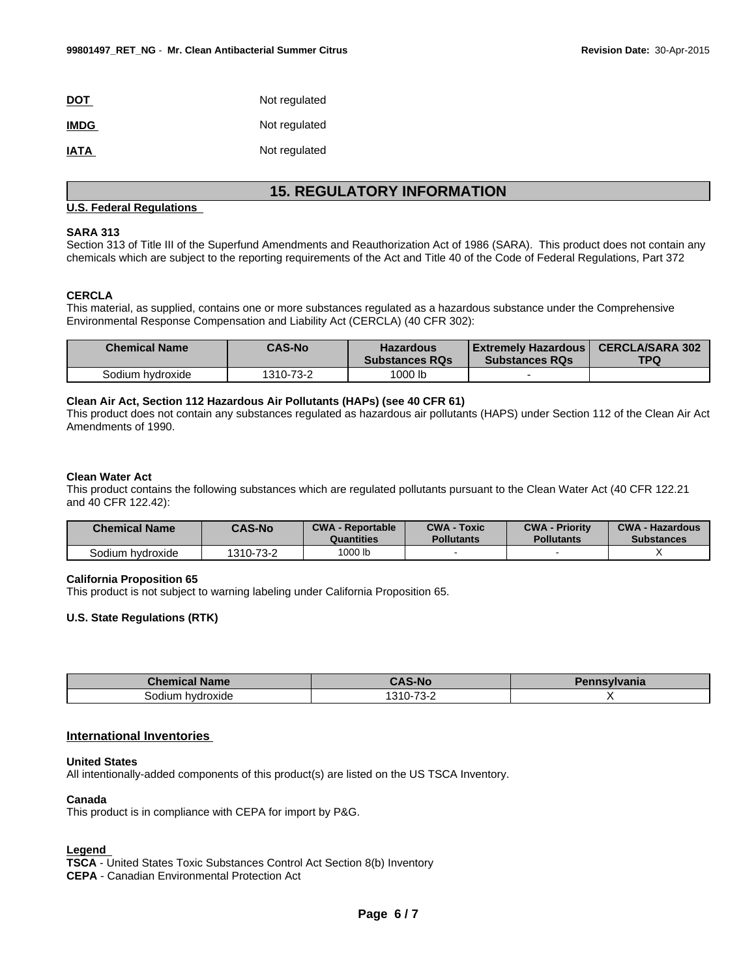| <b>DOT</b>  | Not regulated |
|-------------|---------------|
| <b>IMDG</b> | Not regulated |
| <b>IATA</b> | Not regulated |

# **15. REGULATORY INFORMATION**

### **U.S. Federal Regulations**

### **SARA 313**

Section 313 of Title III of the Superfund Amendments and Reauthorization Act of 1986 (SARA). This product does not contain any chemicals which are subject to the reporting requirements of the Act and Title 40 of the Code of Federal Regulations, Part 372

#### **CERCLA**

This material, as supplied, contains one or more substances regulated as a hazardous substance under the Comprehensive Environmental Response Compensation and Liability Act (CERCLA) (40 CFR 302):

| <b>Chemical Name</b> | <b>CAS-No</b> | <b>Hazardous</b><br><b>Substances ROs</b> | Extremely Hazardous  <br><b>Substances RQs</b> | <b>CERCLA/SARA 302</b><br><b>TPQ</b> |
|----------------------|---------------|-------------------------------------------|------------------------------------------------|--------------------------------------|
| Sodium hvdroxide     | 1310-73-2     | 1000 lb                                   |                                                |                                      |

### **Clean Air Act, Section 112 Hazardous Air Pollutants (HAPs) (see 40 CFR 61)**

This product does not contain any substances regulated as hazardous air pollutants (HAPS) under Section 112 of the Clean Air Act Amendments of 1990.

#### **Clean Water Act**

This product contains the following substances which are regulated pollutants pursuant to the Clean Water Act (40 CFR 122.21 and 40 CFR 122.42):

| <b>Chemical Name</b> | <b>CAS-No</b> | <b>CWA - Reportable</b><br>Quantities | <b>CWA - Toxic</b><br><b>Pollutants</b> | <b>CWA - Priority</b><br><b>Pollutants</b> | <b>CWA - Hazardous</b><br><b>Substances</b> |
|----------------------|---------------|---------------------------------------|-----------------------------------------|--------------------------------------------|---------------------------------------------|
| Sodium hydroxide     | 1310-73-2     | 1000 lb                               |                                         |                                            |                                             |

### **California Proposition 65**

This product is not subject to warning labeling under California Proposition 65.

# **U.S. State Regulations (RTK)**

| <b>Name</b><br><b>Themical</b> | <b>CAS-No</b>          | vivania |
|--------------------------------|------------------------|---------|
| iodium<br>hydroxide            | ר כד הוכו<br>.<br>.n-. |         |

#### **International Inventories**

#### **United States**

All intentionally-added components of this product(s) are listed on the US TSCA Inventory.

### **Canada**

This product is in compliance with CEPA for import by P&G.

#### **Legend**

**TSCA** - United States Toxic Substances Control Act Section 8(b) Inventory **CEPA** - Canadian Environmental Protection Act